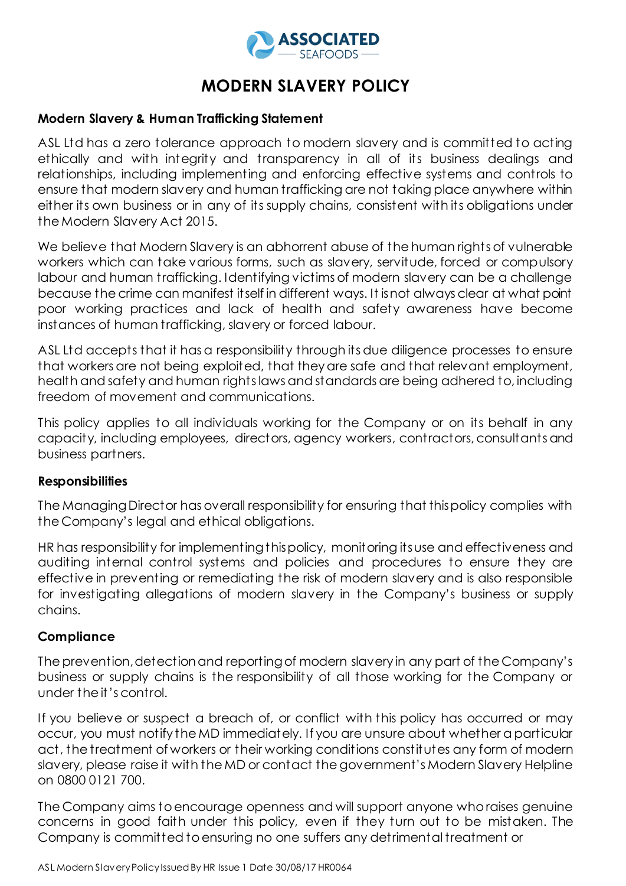

# **MODERN SLAVERY POLICY**

## **Modern Slavery & Human Trafficking Statement**

ASL Ltd has a zero tolerance approach to modern slavery and is committed to acting ethically and with integrity and transparency in all of its business dealings and relationships, including implementing and enforcing effective systems and controls to ensure that modern slavery and human trafficking are not taking place anywhere within either its own business or in any of its supply chains, consistent with its obligations under the Modern Slavery Act 2015.

We believe that Modern Slavery is an abhorrent abuse of the human rights of vulnerable workers which can take various forms, such as slavery, servitude, forced or compulsory labour and human trafficking. Identifying victims of modern slavery can be a challenge because the crime can manifest itself in different ways. It is not always clear at what point poor working practices and lack of health and safety awareness have become instances of human trafficking, slavery or forced labour.

ASL Ltd accepts that it has a responsibility through its due diligence processes to ensure that workers are not being exploited, that they are safe and that relevant employment, health and safety and human rights laws and standards are being adhered to, including freedom of movement and communications.

This policy applies to all individuals working for the Company or on its behalf in any capacity, including employees, directors, agency workers, contractors, consultants and business partners.

## **Responsibilities**

The Managing Director has overall responsibility for ensuring that this policy complies with the Company's legal and ethical obligations.

HR has responsibility for implementing this policy, monitoring its use and effectiveness and auditing internal control systems and policies and procedures to ensure they are effective in preventing or remediating the risk of modern slavery and is also responsible for investigating allegations of modern slavery in the Company's business or supply chains.

#### **Compliance**

The prevention, detection and reporting of modern slavery in any part of the Company's business or supply chains is the responsibility of all those working for the Company or under the it's control.

If you believe or suspect a breach of, or conflict with this policy has occurred or may occur, you must notify the MD immediately. If you are unsure about whether a particular act, the treatment of workers or their working conditions constitutes any form of modern slavery, please raise it with the MD or contact the government's Modern Slavery Helpline on 0800 0121 700.

The Company aims to encourage openness and will support anyone who raises genuine concerns in good faith under this policy, even if they turn out to be mistaken. The Company is committed to ensuring no one suffers any detrimental treatment or